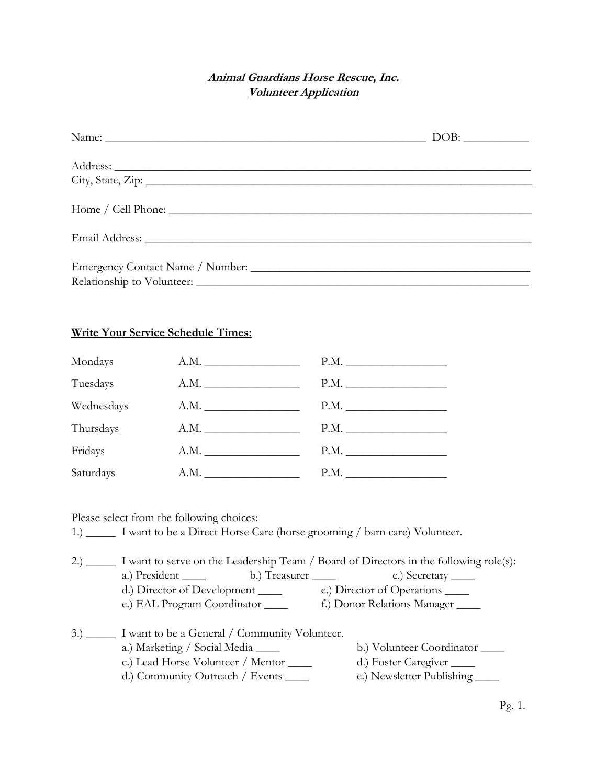## **Animal Guardians Horse Rescue, Inc. Volunteer Application**

## **Write Your Service Schedule Times:**

| Mondays    |      |      |
|------------|------|------|
| Tuesdays   |      |      |
| Wednesdays | A.M. | P.M. |
| Thursdays  | A.M. |      |
| Fridays    |      | P.M. |
| Saturdays  | A.M. |      |

Please select from the following choices:

1.) \_\_\_\_\_ I want to be a Direct Horse Care (horse grooming / barn care) Volunteer.

| (2)  | I want to serve on the Leadership Team / Board of Directors in the following role(s):                                                                                     |                     |                                                                                |
|------|---------------------------------------------------------------------------------------------------------------------------------------------------------------------------|---------------------|--------------------------------------------------------------------------------|
|      | a.) President                                                                                                                                                             | b.) Treasurer _____ | c.) Secretary ______                                                           |
|      | d.) Director of Development ______                                                                                                                                        |                     | e.) Director of Operations                                                     |
|      | e.) EAL Program Coordinator                                                                                                                                               |                     | f.) Donor Relations Manager                                                    |
| (3.) | I want to be a General / Community Volunteer.<br>a.) Marketing / Social Media _____<br>c.) Lead Horse Volunteer / Mentor ______<br>d.) Community Outreach / Events ______ |                     | b.) Volunteer Coordinator<br>d.) Foster Caregiver<br>e.) Newsletter Publishing |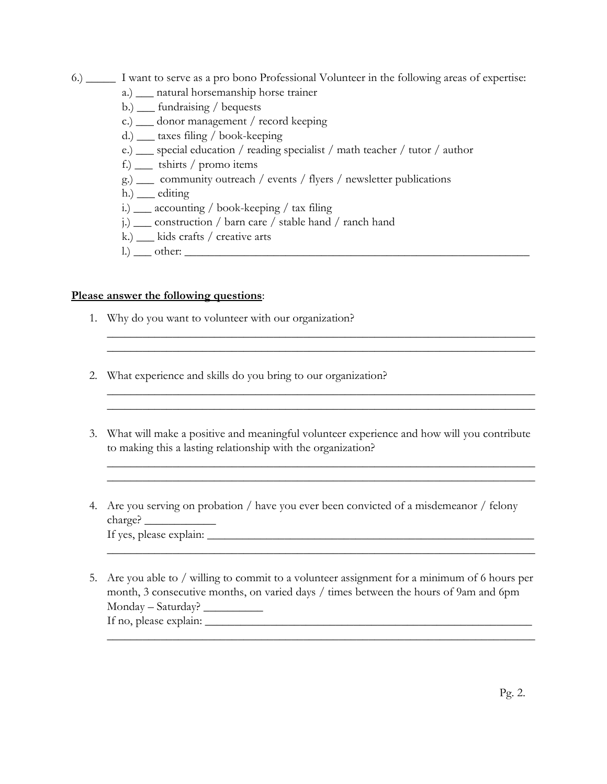- 6.) \_\_\_\_\_ I want to serve as a pro bono Professional Volunteer in the following areas of expertise:
	- a.) \_\_\_ natural horsemanship horse trainer
	- b.) \_\_\_ fundraising / bequests
	- c.) \_\_\_ donor management / record keeping
	- d.) \_\_\_ taxes filing / book-keeping
	- e.) \_\_\_ special education / reading specialist / math teacher / tutor / author
	- f.) \_\_\_ tshirts / promo items
	- g.) \_\_\_ community outreach / events / flyers / newsletter publications
	- $h)$  \_\_\_ editing
	- i.) \_\_\_ accounting / book-keeping / tax filing
	- j.) \_\_\_ construction / barn care / stable hand / ranch hand
	- k.) \_\_\_ kids crafts / creative arts
	- l.) \_\_\_ other: \_\_\_\_\_\_\_\_\_\_\_\_\_\_\_\_\_\_\_\_\_\_\_\_\_\_\_\_\_\_\_\_\_\_\_\_\_\_\_\_\_\_\_\_\_\_\_\_\_\_\_\_\_\_\_\_\_\_

## **Please answer the following questions**:

- 1. Why do you want to volunteer with our organization?
- 2. What experience and skills do you bring to our organization?

 $\mathcal{L}_\text{max} = \mathcal{L}_\text{max} = \mathcal{L}_\text{max} = \mathcal{L}_\text{max} = \mathcal{L}_\text{max} = \mathcal{L}_\text{max} = \mathcal{L}_\text{max} = \mathcal{L}_\text{max} = \mathcal{L}_\text{max} = \mathcal{L}_\text{max} = \mathcal{L}_\text{max} = \mathcal{L}_\text{max} = \mathcal{L}_\text{max} = \mathcal{L}_\text{max} = \mathcal{L}_\text{max} = \mathcal{L}_\text{max} = \mathcal{L}_\text{max} = \mathcal{L}_\text{max} = \mathcal{$ 

3. What will make a positive and meaningful volunteer experience and how will you contribute to making this a lasting relationship with the organization?

 $\_$  , and the set of the set of the set of the set of the set of the set of the set of the set of the set of the set of the set of the set of the set of the set of the set of the set of the set of the set of the set of th

 $\_$  , and the set of the set of the set of the set of the set of the set of the set of the set of the set of the set of the set of the set of the set of the set of the set of the set of the set of the set of the set of th

 $\_$  , and the set of the set of the set of the set of the set of the set of the set of the set of the set of the set of the set of the set of the set of the set of the set of the set of the set of the set of the set of th

 $\_$  , and the set of the set of the set of the set of the set of the set of the set of the set of the set of the set of the set of the set of the set of the set of the set of the set of the set of the set of the set of th

 $\_$  , and the set of the set of the set of the set of the set of the set of the set of the set of the set of the set of the set of the set of the set of the set of the set of the set of the set of the set of the set of th

- 4. Are you serving on probation / have you ever been convicted of a misdemeanor / felony charge? \_\_\_\_\_\_\_\_\_\_\_\_ If yes, please explain: \_\_\_\_\_\_\_\_\_\_\_\_\_\_\_\_\_\_\_\_\_\_\_\_\_\_\_\_\_\_\_\_\_\_\_\_\_\_\_\_\_\_\_\_\_\_\_\_\_\_\_\_\_\_\_
- 5. Are you able to / willing to commit to a volunteer assignment for a minimum of 6 hours per month, 3 consecutive months, on varied days / times between the hours of 9am and 6pm Monday – Saturday? \_\_\_\_\_\_\_\_\_\_ If no, please explain:  $\frac{1}{2}$  =  $\frac{1}{2}$  =  $\frac{1}{2}$  =  $\frac{1}{2}$  =  $\frac{1}{2}$  =  $\frac{1}{2}$  =  $\frac{1}{2}$  =  $\frac{1}{2}$  =  $\frac{1}{2}$  =  $\frac{1}{2}$  =  $\frac{1}{2}$  =  $\frac{1}{2}$  =  $\frac{1}{2}$  =  $\frac{1}{2}$  =  $\frac{1}{2}$  =  $\frac{1}{2}$  =  $\frac{1}{$  $\_$  , and the set of the set of the set of the set of the set of the set of the set of the set of the set of the set of the set of the set of the set of the set of the set of the set of the set of the set of the set of th